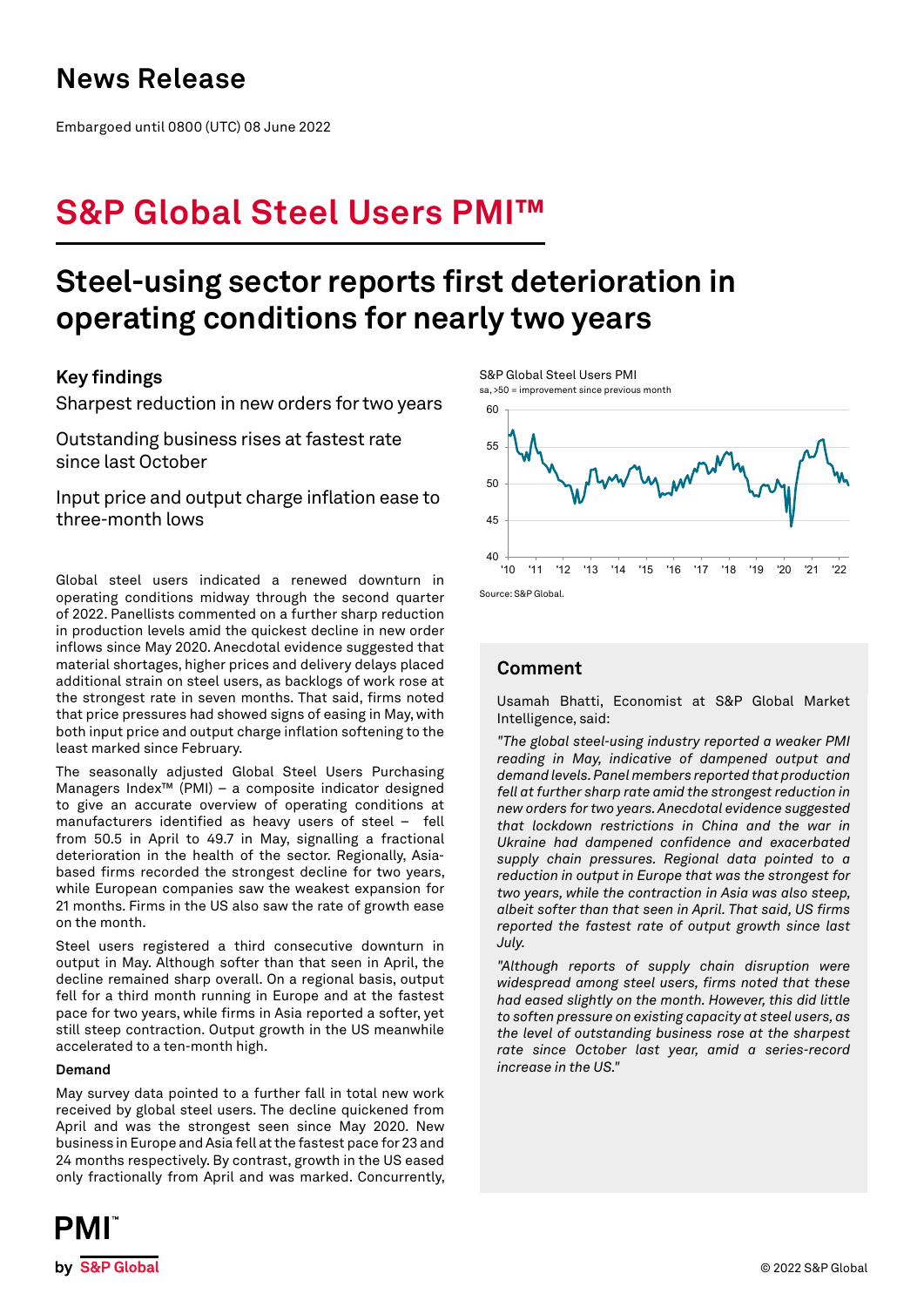# **News Release**

Embargoed until 0800 (UTC) 08 June 2022

# **S&P Global Steel Users PMI™**

# **Steel-using sector reports first deterioration in operating conditions for nearly two years**

## **Key findings**

Sharpest reduction in new orders for two years

Outstanding business rises at fastest rate since last October

Input price and output charge inflation ease to three-month lows

Global steel users indicated a renewed downturn in operating conditions midway through the second quarter of 2022. Panellists commented on a further sharp reduction in production levels amid the quickest decline in new order inflows since May 2020. Anecdotal evidence suggested that material shortages, higher prices and delivery delays placed additional strain on steel users, as backlogs of work rose at the strongest rate in seven months. That said, firms noted that price pressures had showed signs of easing in May, with both input price and output charge inflation softening to the least marked since February.

The seasonally adjusted Global Steel Users Purchasing Managers Index™ (PMI) – a composite indicator designed to give an accurate overview of operating conditions at manufacturers identified as heavy users of steel – fell from 50.5 in April to 49.7 in May, signalling a fractional deterioration in the health of the sector. Regionally, Asiabased firms recorded the strongest decline for two years, while European companies saw the weakest expansion for 21 months. Firms in the US also saw the rate of growth ease on the month.

Steel users registered a third consecutive downturn in output in May. Although softer than that seen in April, the decline remained sharp overall. On a regional basis, output fell for a third month running in Europe and at the fastest pace for two years, while firms in Asia reported a softer, yet still steep contraction. Output growth in the US meanwhile accelerated to a ten-month high.

### **Demand**

May survey data pointed to a further fall in total new work received by global steel users. The decline quickened from April and was the strongest seen since May 2020. New business in Europe and Asia fell at the fastest pace for 23 and 24 months respectively. By contrast, growth in the US eased only fractionally from April and was marked. Concurrently,



S&P Global Steel Users PMI sa, >50 = improvement since previous month



## **Comment**

Usamah Bhatti, Economist at S&P Global Market Intelligence, said:

*"The global steel-using industry reported a weaker PMI reading in May, indicative of dampened output and demand levels. Panel members reported that production fell at further sharp rate amid the strongest reduction in new orders for two years. Anecdotal evidence suggested that lockdown restrictions in China and the war in Ukraine had dampened confidence and exacerbated supply chain pressures. Regional data pointed to a reduction in output in Europe that was the strongest for two years, while the contraction in Asia was also steep, albeit softer than that seen in April. That said, US firms reported the fastest rate of output growth since last July.*

*"Although reports of supply chain disruption were widespread among steel users, firms noted that these had eased slightly on the month. However, this did little to soften pressure on existing capacity at steel users, as the level of outstanding business rose at the sharpest rate since October last year, amid a series-record increase in the US."*